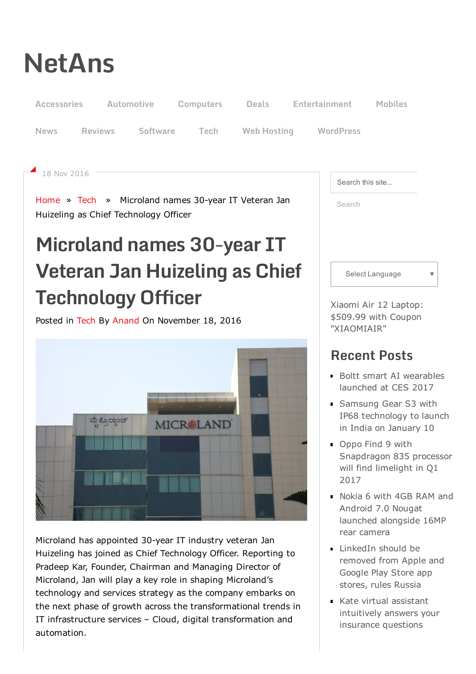# [NetAns](http://netans.com/)

18 Nov 2016



Posted in [Tech](http://netans.com/category/tech/) By [Anand](http://netans.com/author/admin6/) On November 18, 2016



Microland has appointed 30-year IT industry veteran Jan Huizeling has joined as Chief Technology Officer. Reporting to Pradeep Kar, Founder, Chairman and Managing Director of Microland, Jan will play a key role in shaping Microland's technology and services strategy as the company embarks on the next phase of growth across the transformational trends in IT infrastructure services – Cloud, digital transformation and automation.

Xiaomi Air 12 Laptop: \$509.99 with Coupon ["XIAOMIAIR"](http://www.anrdoezrs.net/ke104y1A719PYRXZTTUPRSXUSQUVPRUXYWYQTSYQQQ)

## Recent Posts

- Boltt smart AI [wearables](http://netans.com/2017/01/09/boltt-wearables-ces2017/) launched at CES 2017
- **Samsung Gear S3 with** IP68 [technology](http://netans.com/2017/01/09/samsung-gear-s3-india-launch/) to launch in India on January 10
- Oppo Find 9 with [Snapdragon](http://netans.com/2017/01/09/oppo-find-9-q1-2017/) 835 processor will find limelight in Q1 2017
- Nokia 6 with 4GB RAM and Android 7.0 Nougat launched [alongside](http://netans.com/2017/01/08/nokia-6/) 16MP rear camera
- [LinkedIn](http://netans.com/2017/01/08/linkedin-apple-google-russia/) should be removed from Apple and Google Play Store app stores, rules Russia
- **Kate virtual assistant** [intuitively](http://netans.com/2017/01/08/geicos-kate/) answers your insurance questions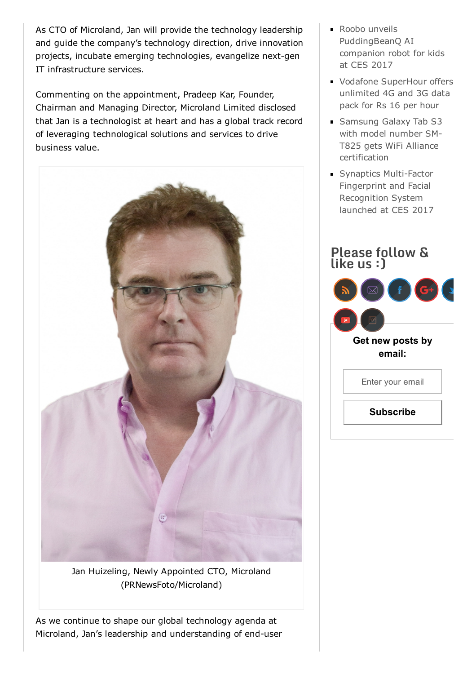As CTO of Microland, Jan will provide the technology leadership and guide the company's technology direction, drive innovation projects, incubate emerging technologies, evangelize next-gen IT infrastructure services.

Commenting on the appointment, Pradeep Kar, Founder, Chairman and Managing Director, Microland Limited disclosed that Jan is a technologist at heart and has a global track record of leveraging technological solutions and services to drive business value.



Jan Huizeling, Newly Appointed CTO, Microland (PRNewsFoto/Microland)

As we continue to shape our global technology agenda at Microland, Jan's leadership and understanding of end-user

- Roobo unveils [PuddingBeanQ](http://netans.com/2017/01/08/roobo-puddingbeanq-ces2017/) AI companion robot for kids at CES 2017
- Vodafone [SuperHour](http://netans.com/2017/01/08/vodafone-superhour-pack/) offers unlimited 4G and 3G data pack for Rs 16 per hour
- Samsung Galaxy Tab S3 with model number SM-T825 gets WiFi Alliance [certification](http://netans.com/2017/01/07/samsung-galaxy-tab-s3-wifi/)
- Synaptics Multi-Factor Fingerprint and Facial Recognition System launched at CES 2017

## Please follow & like us :) Get new posts by email: Enter your email

**Subscribe**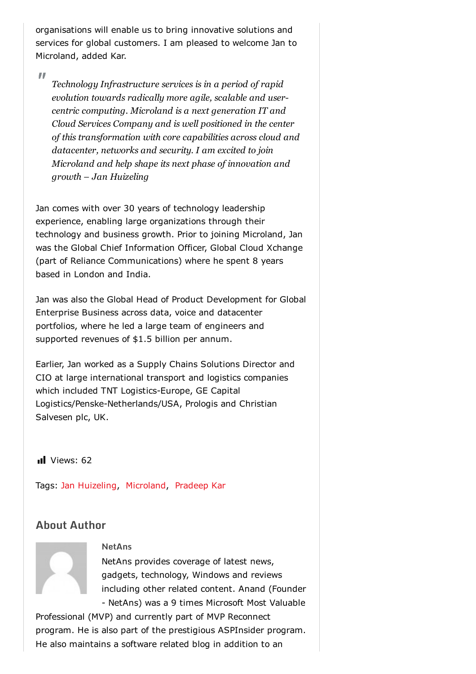organisations will enable us to bring innovative solutions and services for global customers. I am pleased to welcome Jan to Microland, added Kar.

"

*Technology Infrastructure services is in a period of rapid evolution towards radically more agile, scalable and usercentric computing. Microland is a next generation IT and Cloud Services Company and is well positioned in the center of this transformation with core capabilities across cloud and datacenter, networks and security. I am excited to join Microland and help shape its next phase of innovation and growth – Jan Huizeling*

Jan comes with over 30 years of technology leadership experience, enabling large organizations through their technology and business growth. Prior to joining Microland, Jan was the Global Chief Information Officer, Global Cloud Xchange (part of Reliance Communications) where he spent 8 years based in London and India.

Jan was also the Global Head of Product Development for Global Enterprise Business across data, voice and datacenter portfolios, where he led a large team of engineers and supported revenues of \$1.5 billion per annum.

Earlier, Jan worked as a Supply Chains Solutions Director and CIO at large international transport and logistics companies which included TNT Logistics-Europe, GE Capital Logistics/Penske-Netherlands/USA, Prologis and Christian Salvesen plc, UK.

Il Views: 62

Tags: Jan [Huizeling](http://netans.com/tag/jan-huizeling/), [Microland,](http://netans.com/tag/microland/) [Pradeep](http://netans.com/tag/pradeep-kar/) Kar

## About Author



#### **NetAns**

NetAns provides coverage of latest news, gadgets, technology, Windows and reviews including other related content. Anand (Founder NetAns) was a 9 times Microsoft Most Valuable

Professional (MVP) and currently part of MVP Reconnect program. He is also part of the prestigious ASPInsider program. He also maintains a software related blog in addition to an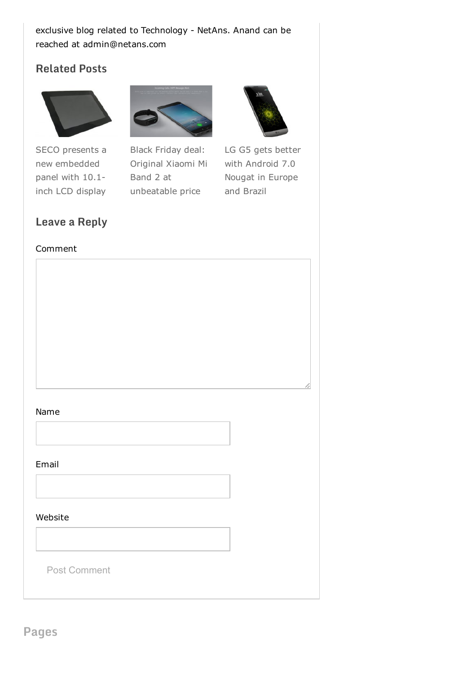### exclusive blog related to Technology - NetAns. Anand can be reached at admin@netans.com

## Related Posts



SECO presents a new [embedded](http://netans.com/2016/11/10/seco-embedded-panel/) panel with 10.1 inch LCD display



Black Friday deal: Original Xiaomi Mi Band 2 at [unbeatable](http://netans.com/2016/11/24/black-friday-xiaomi-mi-band-2/) price



LG G5 gets better with [Android](http://netans.com/2016/12/04/lg-g5-android-nougat/) 7.0 Nougat in Europe and Brazil

### Leave a Reply

#### Comment

#### Name

#### Email

Post Comment